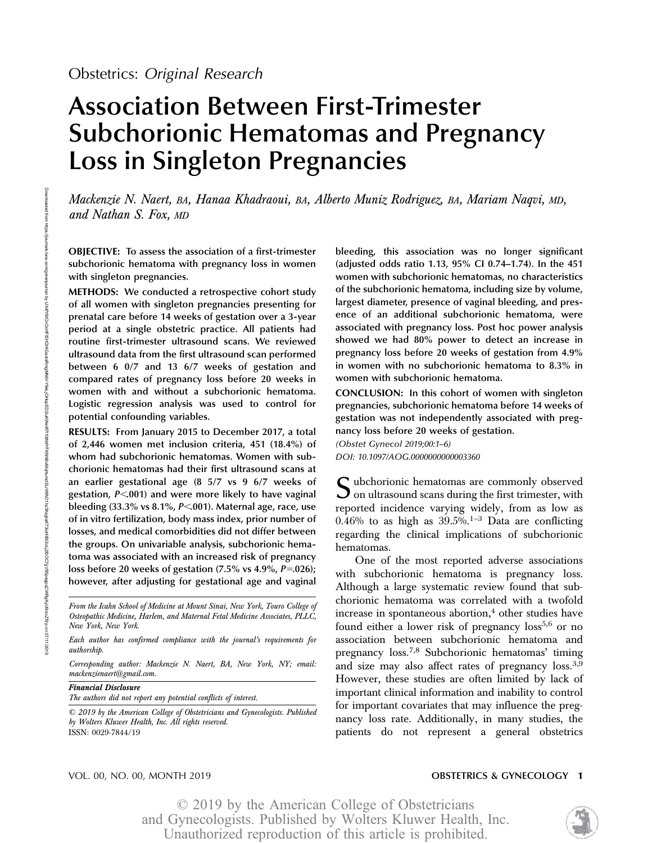# Association Between First-Trimester Subchorionic Hematomas and Pregnancy Loss in Singleton Pregnancies

Mackenzie N. Naert, BA, Hanaa Khadraoui, BA, Alberto Muniz Rodriguez, BA, Mariam Naqvi, MD, and Nathan S. Fox, MD

OBJECTIVE: To assess the association of a first-trimester subchorionic hematoma with pregnancy loss in women with singleton pregnancies.

METHODS: We conducted a retrospective cohort study of all women with singleton pregnancies presenting for prenatal care before 14 weeks of gestation over a 3-year period at a single obstetric practice. All patients had routine first-trimester ultrasound scans. We reviewed ultrasound data from the first ultrasound scan performed between 6 0/7 and 13 6/7 weeks of gestation and compared rates of pregnancy loss before 20 weeks in women with and without a subchorionic hematoma. Logistic regression analysis was used to control for potential confounding variables.

RESULTS: From January 2015 to December 2017, a total of 2,446 women met inclusion criteria, 451 (18.4%) of whom had subchorionic hematomas. Women with subchorionic hematomas had their first ultrasound scans at an earlier gestational age (8 5/7 vs 9 6/7 weeks of gestation,  $P<001$ ) and were more likely to have vaginal bleeding  $(33.3\% \text{ vs } 8.1\%, P<.001)$ . Maternal age, race, use of in vitro fertilization, body mass index, prior number of losses, and medical comorbidities did not differ between the groups. On univariable analysis, subchorionic hematoma was associated with an increased risk of pregnancy loss before 20 weeks of gestation  $(7.5\% \text{ vs } 4.9\%, P=.026)$ ; however, after adjusting for gestational age and vaginal

From the Icahn School of Medicine at Mount Sinai, New York, Touro College of Osteopathic Medicine, Harlem, and Maternal Fetal Medicine Associates, PLLC, New York, New York.

Each author has confirmed compliance with the journal's requirements for authorship.

Corresponding author: Mackenzie N. Naert, BA, New York, NY; email: mackenzienaert@gmail.com.

Financial Disclosure The authors did not report any potential conflicts of interest.

© 2019 by the American College of Obstetricians and Gynecologists. Published by Wolters Kluwer Health, Inc. All rights reserved. ISSN: 0029-7844/19

bleeding, this association was no longer significant (adjusted odds ratio 1.13, 95% CI 0.74–1.74). In the 451 women with subchorionic hematomas, no characteristics of the subchorionic hematoma, including size by volume, largest diameter, presence of vaginal bleeding, and presence of an additional subchorionic hematoma, were associated with pregnancy loss. Post hoc power analysis showed we had 80% power to detect an increase in pregnancy loss before 20 weeks of gestation from 4.9% in women with no subchorionic hematoma to 8.3% in women with subchorionic hematoma.

CONCLUSION: In this cohort of women with singleton pregnancies, subchorionic hematoma before 14 weeks of gestation was not independently associated with pregnancy loss before 20 weeks of gestation.

(Obstet Gynecol 2019;00:1–6) DOI: 10.1097/AOG.0000000000003360

Subchorionic hematomas are commonly observed  $\mathbf{\mathcal{J}}$  on ultrasound scans during the first trimester, with reported incidence varying widely, from as low as  $0.46\%$  to as high as  $39.5\%$ .<sup>1-3</sup> Data are conflicting regarding the clinical implications of subchorionic hematomas.

One of the most reported adverse associations with subchorionic hematoma is pregnancy loss. Although a large systematic review found that subchorionic hematoma was correlated with a twofold increase in spontaneous abortion,<sup>4</sup> other studies have found either a lower risk of pregnancy  $loss<sup>5,6</sup>$  or no association between subchorionic hematoma and pregnancy loss.7,8 Subchorionic hematomas' timing and size may also affect rates of pregnancy loss.3,9 However, these studies are often limited by lack of important clinical information and inability to control for important covariates that may influence the pregnancy loss rate. Additionally, in many studies, the patients do not represent a general obstetrics

#### VOL. 00, NO. 00, MONTH 2019 OBSTETRICS & GYNECOLOGY 1

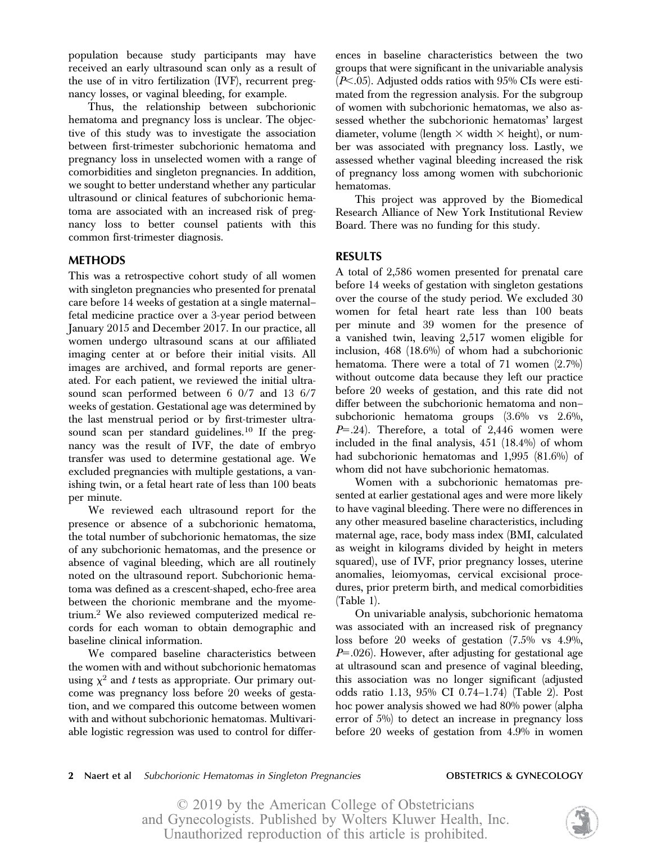population because study participants may have received an early ultrasound scan only as a result of the use of in vitro fertilization (IVF), recurrent pregnancy losses, or vaginal bleeding, for example.

Thus, the relationship between subchorionic hematoma and pregnancy loss is unclear. The objective of this study was to investigate the association between first-trimester subchorionic hematoma and pregnancy loss in unselected women with a range of comorbidities and singleton pregnancies. In addition, we sought to better understand whether any particular ultrasound or clinical features of subchorionic hematoma are associated with an increased risk of pregnancy loss to better counsel patients with this common first-trimester diagnosis.

### METHODS

This was a retrospective cohort study of all women with singleton pregnancies who presented for prenatal care before 14 weeks of gestation at a single maternal– fetal medicine practice over a 3-year period between January 2015 and December 2017. In our practice, all women undergo ultrasound scans at our affiliated imaging center at or before their initial visits. All images are archived, and formal reports are generated. For each patient, we reviewed the initial ultrasound scan performed between 6 0/7 and 13 6/7 weeks of gestation. Gestational age was determined by the last menstrual period or by first-trimester ultrasound scan per standard guidelines.<sup>10</sup> If the pregnancy was the result of IVF, the date of embryo transfer was used to determine gestational age. We excluded pregnancies with multiple gestations, a vanishing twin, or a fetal heart rate of less than 100 beats per minute.

We reviewed each ultrasound report for the presence or absence of a subchorionic hematoma, the total number of subchorionic hematomas, the size of any subchorionic hematomas, and the presence or absence of vaginal bleeding, which are all routinely noted on the ultrasound report. Subchorionic hematoma was defined as a crescent-shaped, echo-free area between the chorionic membrane and the myometrium.2 We also reviewed computerized medical records for each woman to obtain demographic and baseline clinical information.

We compared baseline characteristics between the women with and without subchorionic hematomas using  $\chi^2$  and t tests as appropriate. Our primary outcome was pregnancy loss before 20 weeks of gestation, and we compared this outcome between women with and without subchorionic hematomas. Multivariable logistic regression was used to control for differences in baseline characteristics between the two groups that were significant in the univariable analysis  $(P<.05)$ . Adjusted odds ratios with 95% CIs were estimated from the regression analysis. For the subgroup of women with subchorionic hematomas, we also assessed whether the subchorionic hematomas' largest diameter, volume (length  $\times$  width  $\times$  height), or number was associated with pregnancy loss. Lastly, we assessed whether vaginal bleeding increased the risk of pregnancy loss among women with subchorionic hematomas.

This project was approved by the Biomedical Research Alliance of New York Institutional Review Board. There was no funding for this study.

### RESULTS

A total of 2,586 women presented for prenatal care before 14 weeks of gestation with singleton gestations over the course of the study period. We excluded 30 women for fetal heart rate less than 100 beats per minute and 39 women for the presence of a vanished twin, leaving 2,517 women eligible for inclusion, 468 (18.6%) of whom had a subchorionic hematoma. There were a total of 71 women (2.7%) without outcome data because they left our practice before 20 weeks of gestation, and this rate did not differ between the subchorionic hematoma and non– subchorionic hematoma groups (3.6% vs 2.6%,  $P=24$ ). Therefore, a total of 2,446 women were included in the final analysis, 451 (18.4%) of whom had subchorionic hematomas and 1,995 (81.6%) of whom did not have subchorionic hematomas.

Women with a subchorionic hematomas presented at earlier gestational ages and were more likely to have vaginal bleeding. There were no differences in any other measured baseline characteristics, including maternal age, race, body mass index (BMI, calculated as weight in kilograms divided by height in meters squared), use of IVF, prior pregnancy losses, uterine anomalies, leiomyomas, cervical excisional procedures, prior preterm birth, and medical comorbidities (Table 1).

On univariable analysis, subchorionic hematoma was associated with an increased risk of pregnancy loss before 20 weeks of gestation (7.5% vs 4.9%,  $P=0.026$ ). However, after adjusting for gestational age at ultrasound scan and presence of vaginal bleeding, this association was no longer significant (adjusted odds ratio 1.13, 95% CI 0.74–1.74) (Table 2). Post hoc power analysis showed we had 80% power (alpha error of 5%) to detect an increase in pregnancy loss before 20 weeks of gestation from 4.9% in women

### 2 Naert et al Subchorionic Hematomas in Singleton Pregnancies **OBSTETRICS & GYNECOLOGY**

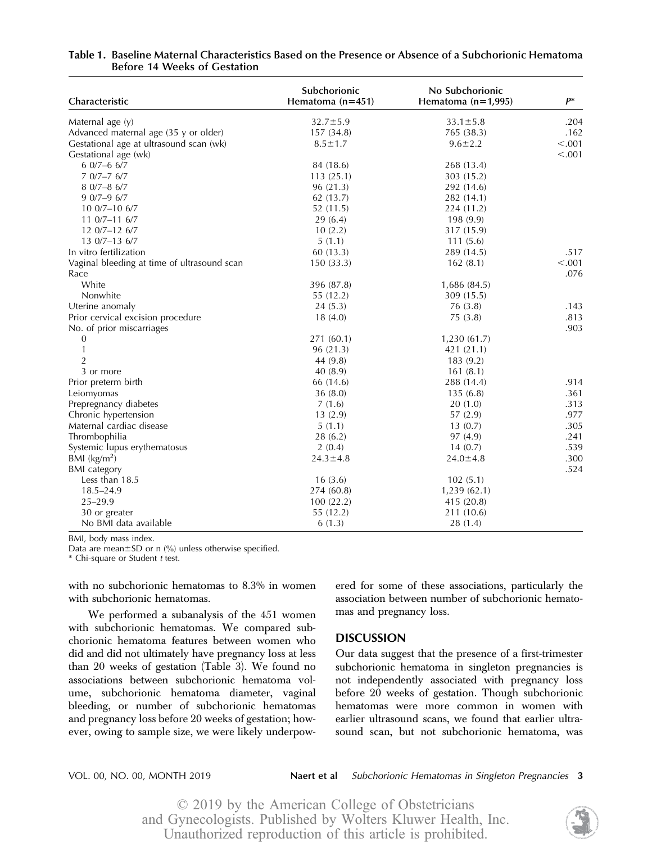| Characteristic                              | Subchorionic<br>Hematoma $(n=451)$ | No Subchorionic<br>Hematoma $(n=1,995)$ | р*      |
|---------------------------------------------|------------------------------------|-----------------------------------------|---------|
| Maternal age (y)                            | $32.7 \pm 5.9$                     | $33.1 \pm 5.8$                          | .204    |
| Advanced maternal age (35 y or older)       | 157 (34.8)                         | 765 (38.3)                              | .162    |
| Gestational age at ultrasound scan (wk)     | $8.5 \pm 1.7$                      | $9.6 \pm 2.2$                           | < 0.001 |
| Gestational age (wk)                        |                                    |                                         | < .001  |
| $60/7 - 66/7$                               | 84 (18.6)                          | 268 (13.4)                              |         |
| $70/7 - 76/7$                               | 113(25.1)                          | 303 (15.2)                              |         |
| $80/7 - 86/7$                               | 96(21.3)                           | 292 (14.6)                              |         |
| $90/7-96/7$                                 | 62(13.7)                           | 282 (14.1)                              |         |
| 10 0/7-10 6/7                               | 52(11.5)                           | 224 (11.2)                              |         |
| $110/7 - 116/7$                             | 29(6.4)                            | 198 (9.9)                               |         |
| $120/7 - 126/7$                             | 10(2.2)                            | 317 (15.9)                              |         |
| 13 0/7-13 6/7                               | 5(1.1)                             | 111(5.6)                                |         |
| In vitro fertilization                      | 60(13.3)                           | 289 (14.5)                              | .517    |
| Vaginal bleeding at time of ultrasound scan | 150(33.3)                          | 162(8.1)                                | < .001  |
| Race                                        |                                    |                                         | .076    |
| White                                       | 396 (87.8)                         | 1,686 (84.5)                            |         |
| Nonwhite                                    | 55 (12.2)                          | 309 (15.5)                              |         |
| Uterine anomaly                             | 24(5.3)                            | 76 (3.8)                                | .143    |
| Prior cervical excision procedure           | 18(4.0)                            | 75(3.8)                                 | .813    |
| No. of prior miscarriages                   |                                    |                                         | .903    |
| $\boldsymbol{0}$                            | 271 (60.1)                         | 1,230(61.7)                             |         |
| $\mathbf{1}$                                | 96 (21.3)                          | 421 (21.1)                              |         |
| $\overline{2}$                              | 44 (9.8)                           | 183 (9.2)                               |         |
| 3 or more                                   | 40(8.9)                            | 161(8.1)                                |         |
| Prior preterm birth                         | 66 (14.6)                          | 288 (14.4)                              | .914    |
| Leiomyomas                                  | 36(8.0)                            | 135(6.8)                                | .361    |
| Prepregnancy diabetes                       | 7(1.6)                             | 20(1.0)                                 | .313    |
| Chronic hypertension                        | 13(2.9)                            | 57 (2.9)                                | .977    |
| Maternal cardiac disease                    | 5(1.1)                             | 13(0.7)                                 | .305    |
| Thrombophilia                               | 28(6.2)                            | 97 (4.9)                                | .241    |
| Systemic lupus erythematosus                | 2(0.4)                             | 14(0.7)                                 | .539    |
| BMI (kg/m <sup>2</sup> )                    | $24.3 \pm 4.8$                     | $24.0 \pm 4.8$                          | .300    |
| <b>BMI</b> category                         |                                    |                                         | .524    |
| Less than 18.5                              | 16(3.6)                            | 102(5.1)                                |         |
| $18.5 - 24.9$                               | 274 (60.8)                         | 1,239(62.1)                             |         |
| $25 - 29.9$                                 | 100(22.2)                          | 415 (20.8)                              |         |
| 30 or greater                               | 55 (12.2)                          | 211 (10.6)                              |         |
| No BMI data available                       | 6(1.3)                             | 28 (1.4)                                |         |

### Table 1. Baseline Maternal Characteristics Based on the Presence or Absence of a Subchorionic Hematoma Before 14 Weeks of Gestation

BMI, body mass index.

Data are mean $\pm$ SD or n (%) unless otherwise specified.

\* Chi-square or Student t test.

with no subchorionic hematomas to 8.3% in women with subchorionic hematomas.

We performed a subanalysis of the 451 women with subchorionic hematomas. We compared subchorionic hematoma features between women who did and did not ultimately have pregnancy loss at less than 20 weeks of gestation (Table 3). We found no associations between subchorionic hematoma volume, subchorionic hematoma diameter, vaginal bleeding, or number of subchorionic hematomas and pregnancy loss before 20 weeks of gestation; however, owing to sample size, we were likely underpowered for some of these associations, particularly the association between number of subchorionic hematomas and pregnancy loss.

#### DISCUSSION

Our data suggest that the presence of a first-trimester subchorionic hematoma in singleton pregnancies is not independently associated with pregnancy loss before 20 weeks of gestation. Though subchorionic hematomas were more common in women with earlier ultrasound scans, we found that earlier ultrasound scan, but not subchorionic hematoma, was

VOL. 00, NO. 00, MONTH 2019 Naert et al Subchorionic Hematomas in Singleton Pregnancies 3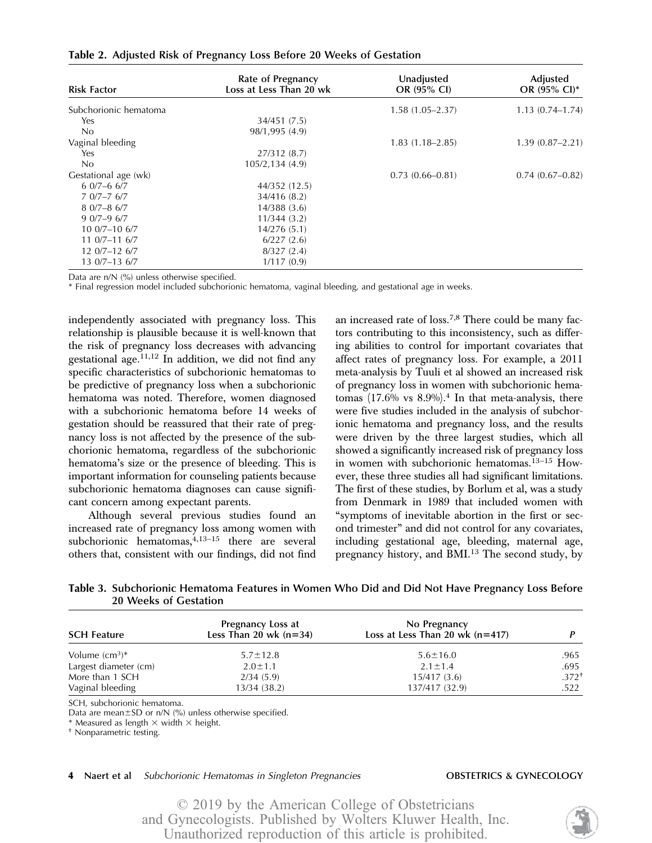| <b>Risk Factor</b>    | Rate of Pregnancy<br>Loss at Less Than 20 wk | Unadjusted<br>OR (95% CI) | Adjusted<br>OR $(95\% \text{ Cl})^*$ |
|-----------------------|----------------------------------------------|---------------------------|--------------------------------------|
| Subchorionic hematoma |                                              | $1.58(1.05-2.37)$         | $1.13(0.74 - 1.74)$                  |
| Yes                   | 34/451 (7.5)                                 |                           |                                      |
| No                    | 98/1,995 (4.9)                               |                           |                                      |
| Vaginal bleeding      |                                              | $1.83(1.18 - 2.85)$       | $1.39(0.87 - 2.21)$                  |
| Yes                   | 27/312 (8.7)                                 |                           |                                      |
| No                    | 105/2,134 (4.9)                              |                           |                                      |
| Gestational age (wk)  |                                              | $0.73(0.66 - 0.81)$       | $0.74(0.67-0.82)$                    |
| $6.0/7 - 6.6/7$       | 44/352 (12.5)                                |                           |                                      |
| $70/7 - 76/7$         | 34/416 (8.2)                                 |                           |                                      |
| $80/7 - 86/7$         | 14/388(3.6)                                  |                           |                                      |
| $90/7-96/7$           | 11/344(3.2)                                  |                           |                                      |
| $100/7 - 106/7$       | 14/276(5.1)                                  |                           |                                      |
| $110/7 - 116/7$       | 6/227(2.6)                                   |                           |                                      |
| $120/7 - 126/7$       | 8/327(2.4)                                   |                           |                                      |
| 13 0/7-13 6/7         | 1/117(0.9)                                   |                           |                                      |

Table 2. Adjusted Risk of Pregnancy Loss Before 20 Weeks of Gestation

Data are n/N (%) unless otherwise specified.

\* Final regression model included subchorionic hematoma, vaginal bleeding, and gestational age in weeks.

independently associated with pregnancy loss. This relationship is plausible because it is well-known that the risk of pregnancy loss decreases with advancing gestational age.11,12 In addition, we did not find any specific characteristics of subchorionic hematomas to be predictive of pregnancy loss when a subchorionic hematoma was noted. Therefore, women diagnosed with a subchorionic hematoma before 14 weeks of gestation should be reassured that their rate of pregnancy loss is not affected by the presence of the subchorionic hematoma, regardless of the subchorionic hematoma's size or the presence of bleeding. This is important information for counseling patients because subchorionic hematoma diagnoses can cause significant concern among expectant parents.

Although several previous studies found an increased rate of pregnancy loss among women with subchorionic hematomas,<sup>4,13-15</sup> there are several others that, consistent with our findings, did not find

an increased rate of loss.7,8 There could be many factors contributing to this inconsistency, such as differing abilities to control for important covariates that affect rates of pregnancy loss. For example, a 2011 meta-analysis by Tuuli et al showed an increased risk of pregnancy loss in women with subchorionic hematomas  $(17.6\% \text{ vs } 8.9\%).$ <sup>4</sup> In that meta-analysis, there were five studies included in the analysis of subchorionic hematoma and pregnancy loss, and the results were driven by the three largest studies, which all showed a significantly increased risk of pregnancy loss in women with subchorionic hematomas.13–<sup>15</sup> However, these three studies all had significant limitations. The first of these studies, by Borlum et al, was a study from Denmark in 1989 that included women with "symptoms of inevitable abortion in the first or second trimester" and did not control for any covariates, including gestational age, bleeding, maternal age, pregnancy history, and BMI.<sup>13</sup> The second study, by

| Table 3. Subchorionic Hematoma Features in Women Who Did and Did Not Have Pregnancy Loss Before |  |  |  |
|-------------------------------------------------------------------------------------------------|--|--|--|
| 20 Weeks of Gestation                                                                           |  |  |  |

| <b>SCH Feature</b>    | Pregnancy Loss at<br>Less Than 20 wk $(n=34)$ | No Pregnancy<br>Loss at Less Than 20 wk $(n=417)$ |            |
|-----------------------|-----------------------------------------------|---------------------------------------------------|------------|
| Volume $\rm (cm^3)^*$ | $5.7 \pm 12.8$                                | $5.6 \pm 16.0$                                    | .965       |
| Largest diameter (cm) | $2.0 \pm 1.1$                                 | $2.1 \pm 1.4$                                     | .695       |
| More than 1 SCH       | 2/34(5.9)                                     | 15/417(3.6)                                       | $.372^{+}$ |
| Vaginal bleeding      | 13/34 (38.2)                                  | 137/417 (32.9)                                    | .522       |

SCH, subchorionic hematoma.

Data are mean $\pm$ SD or n/N (%) unless otherwise specified.

\* Measured as length  $\times$  width  $\times$  height.<br>† Nonparametric testing.

#### 4 Naert et al Subchorionic Hematomas in Singleton Pregnancies **OBSTETRICS & GYNECOLOGY**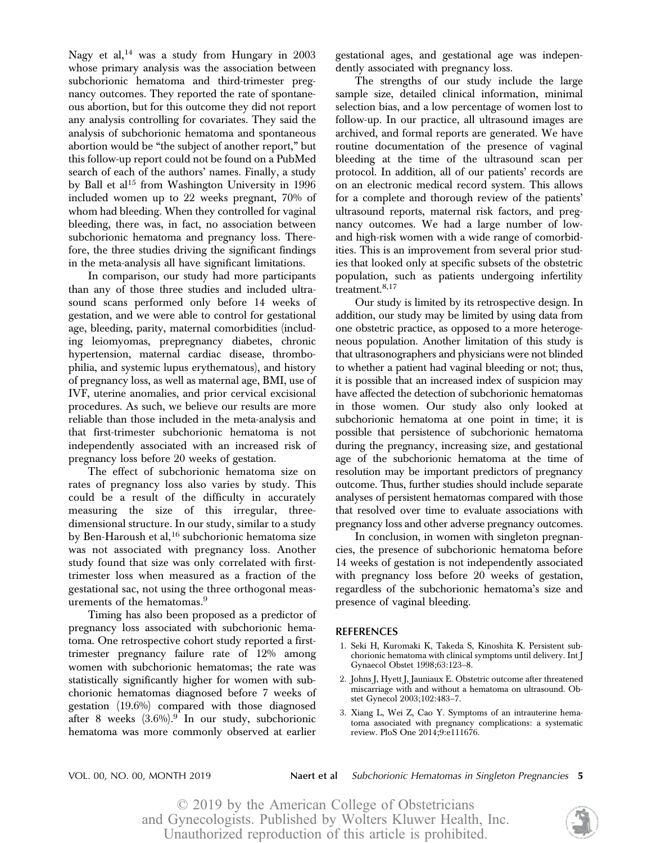Nagy et al,<sup>14</sup> was a study from Hungary in  $2003$ whose primary analysis was the association between subchorionic hematoma and third-trimester pregnancy outcomes. They reported the rate of spontaneous abortion, but for this outcome they did not report any analysis controlling for covariates. They said the analysis of subchorionic hematoma and spontaneous abortion would be "the subject of another report," but this follow-up report could not be found on a PubMed search of each of the authors' names. Finally, a study by Ball et al<sup>15</sup> from Washington University in  $1996$ included women up to 22 weeks pregnant, 70% of whom had bleeding. When they controlled for vaginal bleeding, there was, in fact, no association between subchorionic hematoma and pregnancy loss. Therefore, the three studies driving the significant findings in the meta-analysis all have significant limitations.

In comparison, our study had more participants than any of those three studies and included ultrasound scans performed only before 14 weeks of gestation, and we were able to control for gestational age, bleeding, parity, maternal comorbidities (including leiomyomas, prepregnancy diabetes, chronic hypertension, maternal cardiac disease, thrombophilia, and systemic lupus erythematous), and history of pregnancy loss, as well as maternal age, BMI, use of IVF, uterine anomalies, and prior cervical excisional procedures. As such, we believe our results are more reliable than those included in the meta-analysis and that first-trimester subchorionic hematoma is not independently associated with an increased risk of pregnancy loss before 20 weeks of gestation.

The effect of subchorionic hematoma size on rates of pregnancy loss also varies by study. This could be a result of the difficulty in accurately measuring the size of this irregular, threedimensional structure. In our study, similar to a study by Ben-Haroush et al,  $16$  subchorionic hematoma size was not associated with pregnancy loss. Another study found that size was only correlated with firsttrimester loss when measured as a fraction of the gestational sac, not using the three orthogonal measurements of the hematomas.<sup>9</sup>

Timing has also been proposed as a predictor of pregnancy loss associated with subchorionic hematoma. One retrospective cohort study reported a firsttrimester pregnancy failure rate of 12% among women with subchorionic hematomas; the rate was statistically significantly higher for women with subchorionic hematomas diagnosed before 7 weeks of gestation (19.6%) compared with those diagnosed after 8 weeks  $(3.6\%)$ .<sup>9</sup> In our study, subchorionic hematoma was more commonly observed at earlier

gestational ages, and gestational age was independently associated with pregnancy loss.

The strengths of our study include the large sample size, detailed clinical information, minimal selection bias, and a low percentage of women lost to follow-up. In our practice, all ultrasound images are archived, and formal reports are generated. We have routine documentation of the presence of vaginal bleeding at the time of the ultrasound scan per protocol. In addition, all of our patients' records are on an electronic medical record system. This allows for a complete and thorough review of the patients' ultrasound reports, maternal risk factors, and pregnancy outcomes. We had a large number of lowand high-risk women with a wide range of comorbidities. This is an improvement from several prior studies that looked only at specific subsets of the obstetric population, such as patients undergoing infertility treatment.<sup>8,17</sup>

Our study is limited by its retrospective design. In addition, our study may be limited by using data from one obstetric practice, as opposed to a more heterogeneous population. Another limitation of this study is that ultrasonographers and physicians were not blinded to whether a patient had vaginal bleeding or not; thus, it is possible that an increased index of suspicion may have affected the detection of subchorionic hematomas in those women. Our study also only looked at subchorionic hematoma at one point in time; it is possible that persistence of subchorionic hematoma during the pregnancy, increasing size, and gestational age of the subchorionic hematoma at the time of resolution may be important predictors of pregnancy outcome. Thus, further studies should include separate analyses of persistent hematomas compared with those that resolved over time to evaluate associations with pregnancy loss and other adverse pregnancy outcomes.

In conclusion, in women with singleton pregnancies, the presence of subchorionic hematoma before 14 weeks of gestation is not independently associated with pregnancy loss before 20 weeks of gestation, regardless of the subchorionic hematoma's size and presence of vaginal bleeding.

#### REFERENCES

- 1. Seki H, Kuromaki K, Takeda S, Kinoshita K. Persistent subchorionic hematoma with clinical symptoms until delivery. Int J Gynaecol Obstet 1998;63:123–8.
- 2. Johns J, Hyett J, Jauniaux E. Obstetric outcome after threatened miscarriage with and without a hematoma on ultrasound. Obstet Gynecol 2003;102:483–7.
- 3. Xiang L, Wei Z, Cao Y. Symptoms of an intrauterine hematoma associated with pregnancy complications: a systematic review. PloS One 2014;9:e111676.

VOL. 00, NO. 00, MONTH 2019 Naert et al Subchorionic Hematomas in Singleton Pregnancies 5